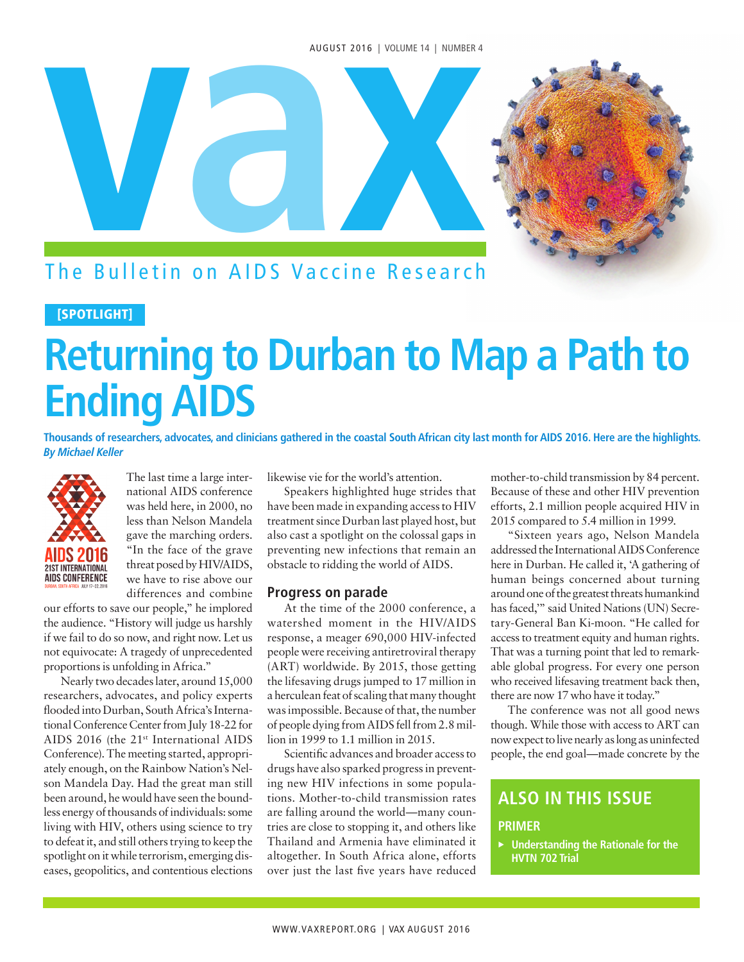#### AUGUST 2016 | VOLUME 14 | NUMBER 4



### The Bulletin on AIDS Vaccine Research

#### [SPOTLIGHT]

# **Returning to Durban to Map a Path to Ending AIDS**

**Thousands of researchers, advocates, and clinicians gathered in the coastal South African city last month for AIDS 2016. Here are the highlights. By Michael Keller**



The last time a large international AIDS conference was held here, in 2000, no less than Nelson Mandela gave the marching orders. "In the face of the grave threat posed by HIV/AIDS, we have to rise above our differences and combine

our efforts to save our people," he implored the audience. "History will judge us harshly if we fail to do so now, and right now. Let us not equivocate: A tragedy of unprecedented proportions is unfolding in Africa."

Nearly two decades later, around 15,000 researchers, advocates, and policy experts flooded into Durban, South Africa's International Conference Center from July 18-22 for AIDS 2016 (the 21st International AIDS Conference). The meeting started, appropriately enough, on the Rainbow Nation's Nelson Mandela Day. Had the great man still been around, he would have seen the boundless energy of thousands of individuals: some living with HIV, others using science to try to defeat it, and still others trying to keep the spotlight on it while terrorism, emerging diseases, geopolitics, and contentious elections

likewise vie for the world's attention.

Speakers highlighted huge strides that have been made in expanding access to HIV treatment since Durban last played host, but also cast a spotlight on the colossal gaps in preventing new infections that remain an obstacle to ridding the world of AIDS.

#### **Progress on parade**

At the time of the 2000 conference, a watershed moment in the HIV/AIDS response, a meager 690,000 HIV-infected people were receiving antiretroviral therapy (ART) worldwide. By 2015, those getting the lifesaving drugs jumped to 17 million in a herculean feat of scaling that many thought was impossible. Because of that, the number of people dying from AIDS fell from 2.8 million in 1999 to 1.1 million in 2015.

Scientific advances and broader access to drugs have also sparked progress in preventing new HIV infections in some populations. Mother-to-child transmission rates are falling around the world—many countries are close to stopping it, and others like Thailand and Armenia have eliminated it altogether. In South Africa alone, efforts over just the last five years have reduced mother-to-child transmission by 84 percent. Because of these and other HIV prevention efforts, 2.1 million people acquired HIV in 2015 compared to 5.4 million in 1999.

"Sixteen years ago, Nelson Mandela addressed the International AIDS Conference here in Durban. He called it, 'A gathering of human beings concerned about turning around one of the greatest threats humankind has faced,'" said United Nations (UN) Secretary-General Ban Ki-moon. "He called for access to treatment equity and human rights. That was a turning point that led to remarkable global progress. For every one person who received lifesaving treatment back then, there are now 17 who have it today."

The conference was not all good news though. While those with access to ART can now expect to live nearly as long as uninfected people, the end goal—made concrete by the

### **ALSO IN THIS ISSUE**

#### **PRIMER**

<sup>u</sup>**Understanding the Rationale for the HVTN 702 Trial**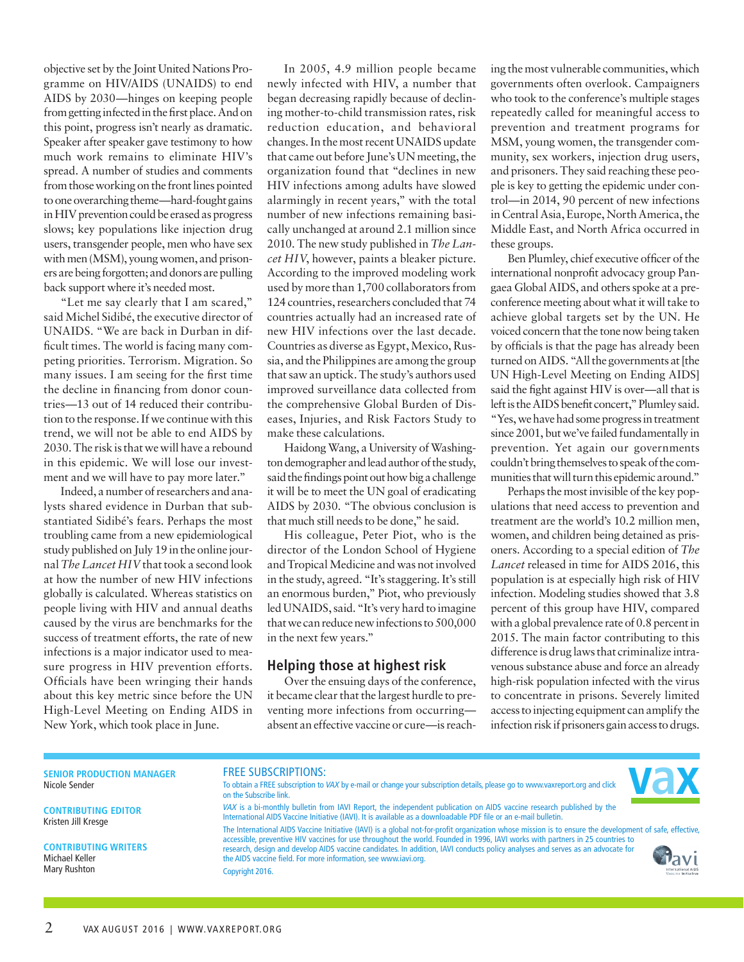objective set by the Joint United Nations Programme on HIV/AIDS (UNAIDS) to end AIDS by 2030—hinges on keeping people from getting infected in the first place. And on this point, progress isn't nearly as dramatic. Speaker after speaker gave testimony to how much work remains to eliminate HIV's spread. A number of studies and comments from those working on the front lines pointed to one overarching theme—hard-fought gains in HIV prevention could be erased as progress slows; key populations like injection drug users, transgender people, men who have sex with men (MSM), young women, and prisoners are being forgotten; and donors are pulling back support where it's needed most.

"Let me say clearly that I am scared," said Michel Sidibé, the executive director of UNAIDS. "We are back in Durban in difficult times. The world is facing many competing priorities. Terrorism. Migration. So many issues. I am seeing for the first time the decline in financing from donor countries—13 out of 14 reduced their contribution to the response. If we continue with this trend, we will not be able to end AIDS by 2030. The risk is that we will have a rebound in this epidemic. We will lose our investment and we will have to pay more later."

Indeed, a number of researchers and analysts shared evidence in Durban that substantiated Sidibé's fears. Perhaps the most troubling came from a new epidemiological study published on July 19 in the online journal *The Lancet HIV* that took a second look at how the number of new HIV infections globally is calculated. Whereas statistics on people living with HIV and annual deaths caused by the virus are benchmarks for the success of treatment efforts, the rate of new infections is a major indicator used to measure progress in HIV prevention efforts. Officials have been wringing their hands about this key metric since before the UN High-Level Meeting on Ending AIDS in New York, which took place in June.

In 2005, [4.9 million people](http://www.who.int/hiv/epi-update2005_en.pdf) became newly infected with HIV, a number that began decreasing rapidly because of declining mother-to-child transmission rates, risk reduction education, and behavioral changes. In the most recent [UNAIDS update](http://www.unaids.org/sites/default/files/media_asset/global-AIDS-update-2016_en.pdf) that came out before June's UN meeting, the organization found that "declines in new HIV infections among adults have slowed alarmingly in recent years," with the total number of new infections remaining basically unchanged at around 2.1 million since 2010. [The new study](http://www.thelancet.com/pdfs/journals/lanhiv/PIIS2352-3018(16)30087-X.pdf) published in *The Lancet HIV*, however, paints a bleaker picture. According to the improved modeling work used by more than 1,700 collaborators from 124 countries, researchers concluded that 74 countries actually had an increased rate of new HIV infections over the last decade. Countries as diverse as Egypt, Mexico, Russia, and the Philippines are among the group that saw an uptick. The study's authors used improved surveillance data collected from the comprehensive Global Burden of Diseases, Injuries, and Risk Factors Study to make these calculations.

Haidong Wang, a University of Washington demographer and lead author of the study, said the findings point out how big a challenge it will be to meet the UN goal of eradicating AIDS by 2030. "The obvious conclusion is that much still needs to be done," he said.

His colleague, Peter Piot, who is the director of the London School of Hygiene and Tropical Medicine and was not involved in the study, agreed. "It's staggering. It's still an enormous burden," Piot, who previously led UNAIDS, said. "It's very hard to imagine that we can reduce new infections to 500,000 in the next few years."

#### **Helping those at highest risk**

Over the ensuing days of the conference, it became clear that the largest hurdle to preventing more infections from occurring absent an effective vaccine or cure—is reaching the most vulnerable communities, which governments often overlook. Campaigners who took to the conference's multiple stages repeatedly called for meaningful access to prevention and treatment programs for MSM, young women, the transgender community, sex workers, injection drug users, and prisoners. They said reaching these people is key to getting the epidemic under control—in 2014, 90 percent of new infections in Central Asia, Europe, North America, the Middle East, and North Africa occurred in these groups.

Ben Plumley, chief executive officer of the international nonprofit advocacy group Pangaea Global AIDS, and others spoke at a preconference meeting about what it will take to achieve global targets set by the UN. He voiced concern that the tone now being taken by officials is that the page has already been turned on AIDS. "All the governments at [the UN High-Level Meeting on Ending AIDS] said the fight against HIV is over—all that is left is the AIDS benefit concert," Plumley said. "Yes, we have had some progress in treatment since 2001, but we've failed fundamentally in prevention. Yet again our governments couldn't bring themselves to speak of the communities that will turn this epidemic around."

Perhaps the most invisible of the key populations that need access to prevention and treatment are the world's 10.2 million men, women, and children being detained as prisoners. According to a special edition of *The Lancet* released in time for AIDS 2016, this population is at especially high risk of HIV infection. [Modeling studies showed that](http://www.thelancet.com/journals/lancet/article/PIIS0140-6736(16)30466-4/abstract) 3.8 percent of this group have HIV, compared with a global prevalence rate of 0.8 percent in 2015. The main factor contributing to this difference is drug laws that criminalize intravenous substance abuse and force an already high-risk population infected with the virus to concentrate in prisons. Severely limited access to injecting equipment can amplify the infection risk if prisoners gain access to drugs.

**SENIOR PRODUCTION MANAGER** Nicole Sender

**CONTRIBUTING EDITOR** Kristen Jill Kresge

**CONTRIBUTING WRITERS** Michael Keller Mary Rushton

#### FREE SUBSCRIPTIONS:

To obtain a FREE subscription to VAX by e-mail or change your subscription details, please go to www.vaxreport.org and click on the Subscribe link.



VAX is a bi-monthly bulletin from IAVI Report, the independent publication on AIDS vaccine research published by the International AIDS Vaccine Initiative (IAVI). It is available as a downloadable PDF file or an e-mail bulletin. The International AIDS Vaccine Initiative (IAVI) is a global not-for-profit organization whose mission is to ensure the development of safe, effective, accessible, preventive HIV vaccines for use throughout the world. Founded in 1996, IAVI works with partners in 25 countries to research, design and develop AIDS vaccine candidates. In addition, IAVI conducts policy analyses and serves as an advocate for the AIDS vaccine field. For more information, see www.iavi.org. Copyright 2016.

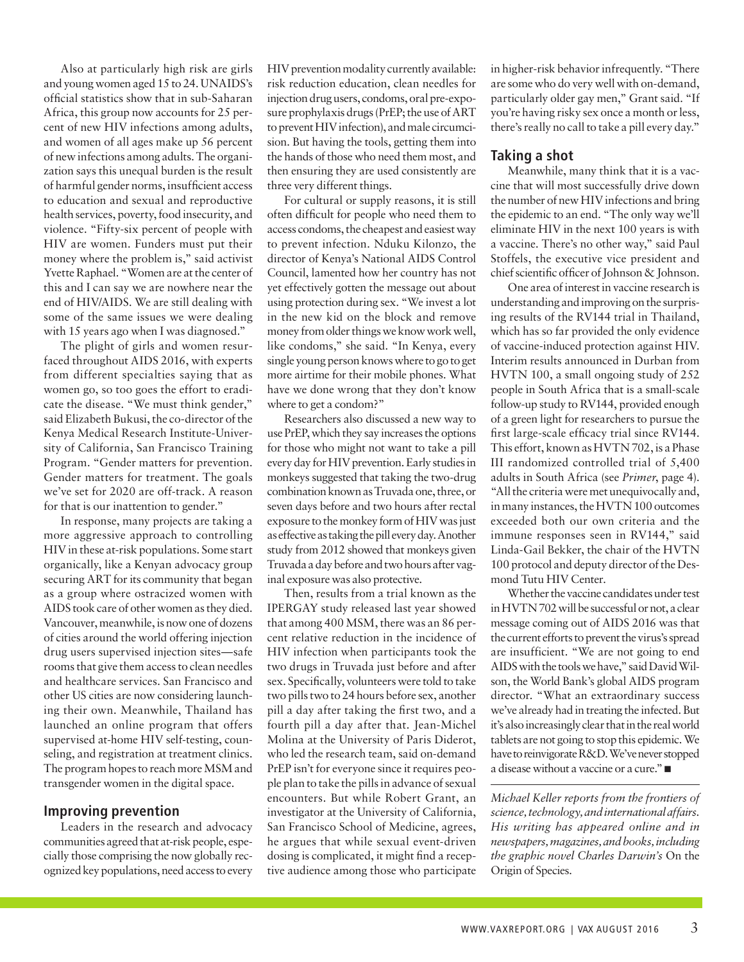Also at particularly high risk are girls and young women aged 15 to 24. UNAIDS's official statistics show that in sub-Saharan Africa, this group now accounts for 25 percent of new HIV infections among adults, and women of all ages make up 56 percent of new infections among adults. The organization says this unequal burden is the result of harmful gender norms, insufficient access to education and sexual and reproductive health services, poverty, food insecurity, and violence. "Fifty-six percent of people with HIV are women. Funders must put their money where the problem is," said activist Yvette Raphael. "Women are at the center of this and I can say we are nowhere near the end of HIV/AIDS. We are still dealing with some of the same issues we were dealing with 15 years ago when I was diagnosed."

The plight of girls and women resurfaced throughout AIDS 2016, with experts from different specialties saying that as women go, so too goes the effort to eradicate the disease. "We must think gender," said Elizabeth Bukusi, the co-director of the Kenya Medical Research Institute-University of California, San Francisco Training Program. "Gender matters for prevention. Gender matters for treatment. The goals we've set for 2020 are off-track. A reason for that is our inattention to gender."

In response, many projects are taking a more aggressive approach to controlling HIV in these at-risk populations. Some start organically, like a Kenyan advocacy group securing ART for its community that began as a group where ostracized women with AIDS took care of other women as they died. Vancouver, meanwhile, is no[w one of dozens](http://www.citylab.com/housing/2016/06/could-supervised-injection-help-san-franciscos-homeless-drug-users/489086/)  [of cities](http://www.citylab.com/housing/2016/06/could-supervised-injection-help-san-franciscos-homeless-drug-users/489086/) around the world offering injection drug users supervised injection sites—safe rooms that give them access to clean needles and healthcare services. San Francisco and other US cities are now considering launching their own. Meanwhile, Thailand has launched an online program that offers supervised at-home HIV self-testing, counseling, and registration at treatment clinics. The program hopes to reach more MSM and transgender women in the digital space.

#### **Improving prevention**

Leaders in the research and advocacy communities agreed that at-risk people, especially those comprising the now globally recognized key populations, need access to every

HIV prevention modality currently available: risk reduction education, clean needles for injection drug users, condoms, oral pre-exposure prophylaxis drugs (PrEP; the use of ART to prevent HIV infection), and male circumcision. But having the tools, getting them into the hands of those who need them most, and then ensuring they are used consistently are three very different things.

For cultural or supply reasons, it is still often difficult for people who need them to access condoms, the cheapest and easiest way to prevent infection. Nduku Kilonzo, the director of Kenya's National AIDS Control Council, lamented how her country has not yet effectively gotten the message out about using protection during sex. "We invest a lot in the new kid on the block and remove money from older things we know work well, like condoms," she said. "In Kenya, every single young person knows where to go to get more airtime for their mobile phones. What have we done wrong that they don't know where to get a condom?"

Researchers also discussed a new way to use PrEP, which they say increases the options for those who might not want to take a pill every day for HIV prevention. Early studies in monkeys suggested that taking the two-drug combination known as Truvada one, three, or seven days before and two hours after rectal exposure to the monkey form of HIV was just as effective as taking the pill every day. Another study from 2012 showed that monkeys given Truvada a day before and two hours after vaginal exposure was also protective.

Then, results from a trial known as the IPERGAY study released last year showed that among 400 MSM, there was an 86 percent relative reduction in the incidence of HIV infection when participants took the two drugs in Truvada just before and after sex. Specifically, volunteers were told to take two pills two to 24 hours before sex, another pill a day after taking the first two, and a fourth pill a day after that. Jean-Michel Molina at the University of Paris Diderot, who led the research team, said on-demand PrEP isn't for everyone since it requires people plan to take the pills in advance of sexual encounters. But while Robert Grant, an investigator at the University of California, San Francisco School of Medicine, agrees, he argues that while sexual event-driven dosing is complicated, it might find a receptive audience among those who participate

in higher-risk behavior infrequently. "There are some who do very well with on-demand, particularly older gay men," Grant said. "If you're having risky sex once a month or less, there's really no call to take a pill every day."

#### **Taking a shot**

Meanwhile, many think that it is a vaccine that will most successfully drive down the number of new HIV infections and bring the epidemic to an end. "The only way we'll eliminate HIV in the next 100 years is with a vaccine. There's no other way," said Paul Stoffels, the executive vice president and chief scientific officer of Johnson & Johnson.

One area of interest in vaccine research is understanding and improving on the surprising results of the RV144 trial in Thailand, which has so far provided the only evidence of vaccine-induced protection against HIV. Interim results announced in Durban from HVTN 100, a small ongoing study of 252 people in South Africa that is a small-scale follow-up study to RV144, provided enough of a green light for researchers to pursue the first large-scale efficacy trial since RV144. This effort, known as HVTN 702, is a Phase III randomized controlled trial of 5,400 adults in South Africa (see *Primer*, page 4). "All the criteria were met unequivocally and, in many instances, the HVTN 100 outcomes exceeded both our own criteria and the immune responses seen in RV144," said Linda-Gail Bekker, the chair of the HVTN 100 protocol and deputy director of the Desmond Tutu HIV Center.

Whether the vaccine candidates under test in HVTN 702 will be successful or not, a clear message coming out of AIDS 2016 was that the current efforts to prevent the virus's spread are insufficient. "We are not going to end AIDS with the tools we have," said David Wilson, the World Bank's global AIDS program director. "What an extraordinary success we've already had in treating the infected. But it's also increasingly clear that in the real world tablets are not going to stop this epidemic. We have to reinvigorate R&D. We've never stopped a disease without a vaccine or a cure."

*Michael Keller reports from the frontiers of science, technology, and international affairs. His writing has appeared online and in newspapers, magazines, and books, including the graphic novel Charles Darwin's* On the Origin of Species.